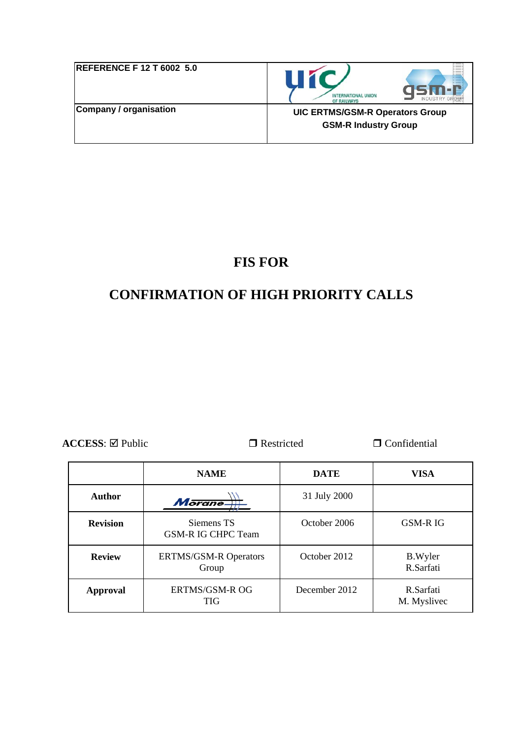| <b>REFERENCE F 12 T 6002 5.0</b> | <b>INTERNATIONAL UNION</b><br><b>INDUSTRY G</b><br>OF RAILWAYS        |
|----------------------------------|-----------------------------------------------------------------------|
| Company / organisation           | <b>UIC ERTMS/GSM-R Operators Group</b><br><b>GSM-R Industry Group</b> |

# **FIS FOR**

# **CONFIRMATION OF HIGH PRIORITY CALLS**

**ACCESS**: ⊠ Public DRestricted DConfidential

|                 | <b>NAME</b>                             | <b>DATE</b>   | <b>VISA</b>                 |
|-----------------|-----------------------------------------|---------------|-----------------------------|
| <b>Author</b>   | Morane-                                 | 31 July 2000  |                             |
| <b>Revision</b> | Siemens TS<br><b>GSM-R IG CHPC Team</b> | October 2006  | <b>GSM-RIG</b>              |
| <b>Review</b>   | <b>ERTMS/GSM-R Operators</b><br>Group   | October 2012  | <b>B.Wyler</b><br>R.Sarfati |
| Approval        | ERTMS/GSM-R OG<br><b>TIG</b>            | December 2012 | R.Sarfati<br>M. Myslivec    |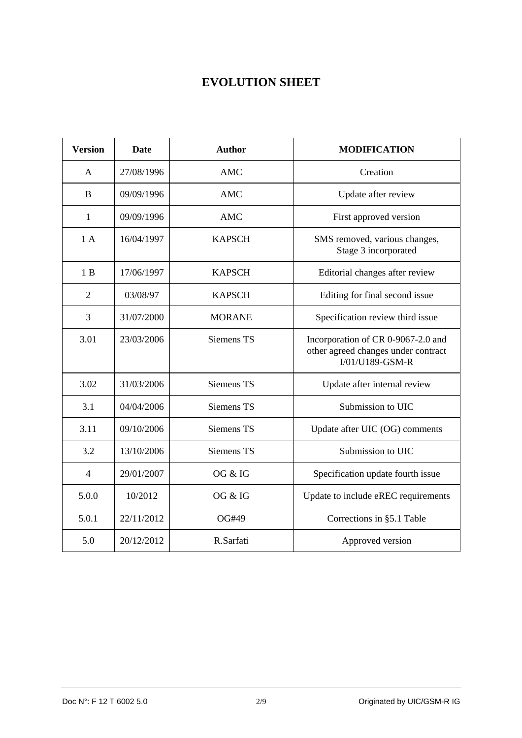# **EVOLUTION SHEET**

| <b>Version</b> | Date       | <b>Author</b>     | <b>MODIFICATION</b>                                                                          |  |
|----------------|------------|-------------------|----------------------------------------------------------------------------------------------|--|
| A              | 27/08/1996 | <b>AMC</b>        | Creation                                                                                     |  |
| B              | 09/09/1996 | <b>AMC</b>        | Update after review                                                                          |  |
| $\mathbf{1}$   | 09/09/1996 | <b>AMC</b>        | First approved version                                                                       |  |
| 1A             | 16/04/1997 | <b>KAPSCH</b>     | SMS removed, various changes,<br>Stage 3 incorporated                                        |  |
| 1B             | 17/06/1997 | <b>KAPSCH</b>     | Editorial changes after review                                                               |  |
| $\overline{2}$ | 03/08/97   | <b>KAPSCH</b>     | Editing for final second issue                                                               |  |
| 3              | 31/07/2000 | <b>MORANE</b>     | Specification review third issue                                                             |  |
| 3.01           | 23/03/2006 | Siemens TS        | Incorporation of CR 0-9067-2.0 and<br>other agreed changes under contract<br>I/01/U189-GSM-R |  |
| 3.02           | 31/03/2006 | Siemens TS        | Update after internal review                                                                 |  |
| 3.1            | 04/04/2006 | <b>Siemens TS</b> | Submission to UIC                                                                            |  |
| 3.11           | 09/10/2006 | Siemens TS        | Update after UIC (OG) comments                                                               |  |
| 3.2            | 13/10/2006 | Siemens TS        | Submission to UIC                                                                            |  |
| $\overline{4}$ | 29/01/2007 | OG & IG           | Specification update fourth issue                                                            |  |
| 5.0.0          | 10/2012    | OG & IG           | Update to include eREC requirements                                                          |  |
| 5.0.1          | 22/11/2012 | OG#49             | Corrections in §5.1 Table                                                                    |  |
| 5.0            | 20/12/2012 | R.Sarfati         | Approved version                                                                             |  |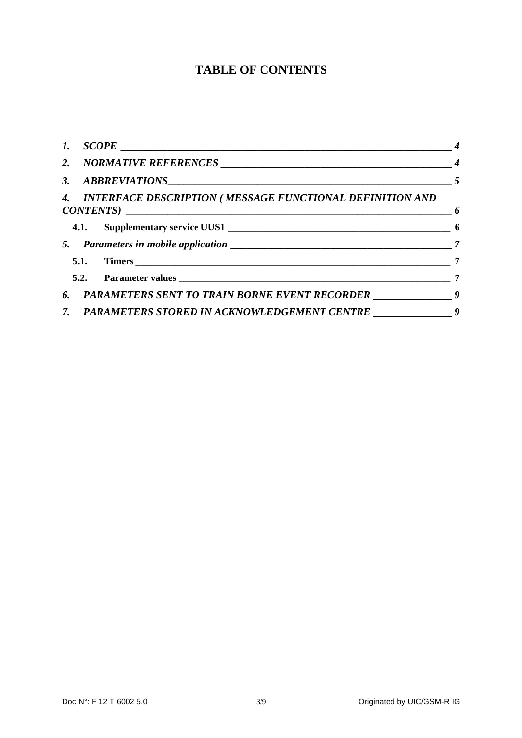# **TABLE OF CONTENTS**

|  | 3. ABBREVIATIONS $5$                                                                         |  |
|--|----------------------------------------------------------------------------------------------|--|
|  | 4. INTERFACE DESCRIPTION (MESSAGE FUNCTIONAL DEFINITION AND<br>$CONTENTS)$ $\qquad \qquad$ 6 |  |
|  |                                                                                              |  |
|  |                                                                                              |  |
|  |                                                                                              |  |
|  |                                                                                              |  |
|  | 6. PARAMETERS SENT TO TRAIN BORNE EVENT RECORDER ___________________9                        |  |
|  | 7. PARAMETERS STORED IN ACKNOWLEDGEMENT CENTRE ___________________9                          |  |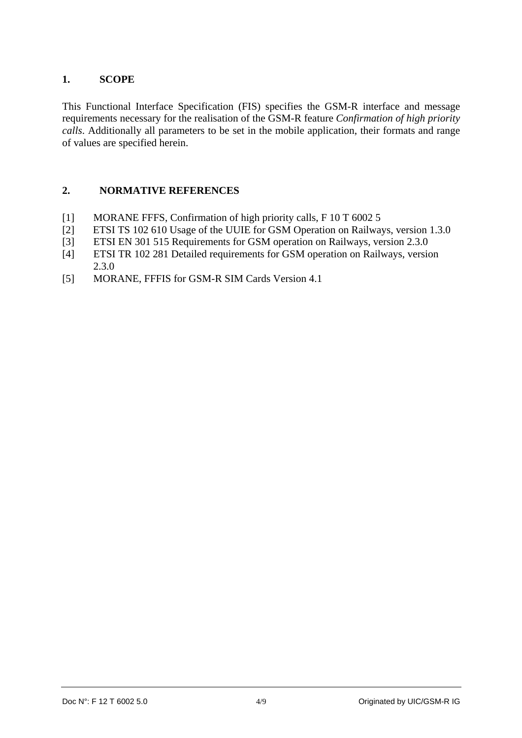#### **1. SCOPE**

This Functional Interface Specification (FIS) specifies the GSM-R interface and message requirements necessary for the realisation of the GSM-R feature *Confirmation of high priority calls*. Additionally all parameters to be set in the mobile application, their formats and range of values are specified herein.

#### **2. NORMATIVE REFERENCES**

- [1] MORANE FFFS, Confirmation of high priority calls, F 10 T 6002 5
- [2] ETSI TS 102 610 Usage of the UUIE for GSM Operation on Railways, version 1.3.0
- [3] ETSI EN 301 515 Requirements for GSM operation on Railways, version 2.3.0
- [4] ETSI TR 102 281 Detailed requirements for GSM operation on Railways, version 2.3.0
- [5] MORANE, FFFIS for GSM-R SIM Cards Version 4.1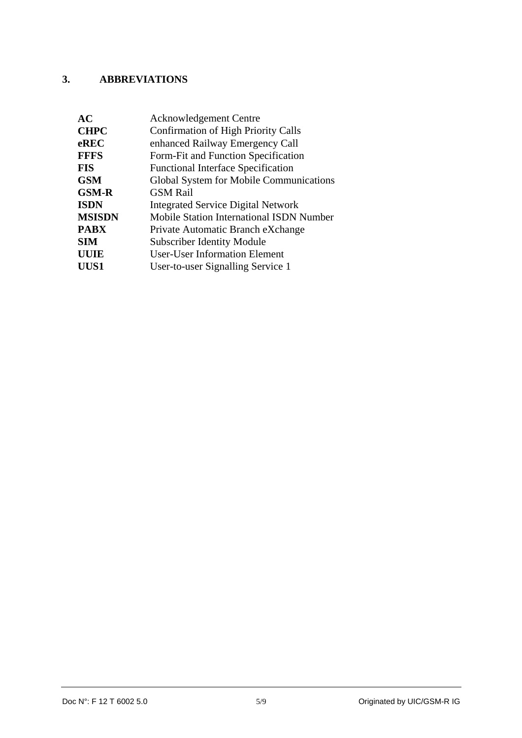## **3. ABBREVIATIONS**

| AC            | <b>Acknowledgement Centre</b>                   |
|---------------|-------------------------------------------------|
| <b>CHPC</b>   | <b>Confirmation of High Priority Calls</b>      |
| eREC          | enhanced Railway Emergency Call                 |
| <b>FFFS</b>   | Form-Fit and Function Specification             |
| <b>FIS</b>    | <b>Functional Interface Specification</b>       |
| <b>GSM</b>    | Global System for Mobile Communications         |
| <b>GSM-R</b>  | <b>GSM Rail</b>                                 |
| <b>ISDN</b>   | <b>Integrated Service Digital Network</b>       |
| <b>MSISDN</b> | <b>Mobile Station International ISDN Number</b> |
| <b>PABX</b>   | Private Automatic Branch eXchange               |
| <b>SIM</b>    | <b>Subscriber Identity Module</b>               |
| <b>UUIE</b>   | <b>User-User Information Element</b>            |
| UUS1          | User-to-user Signalling Service 1               |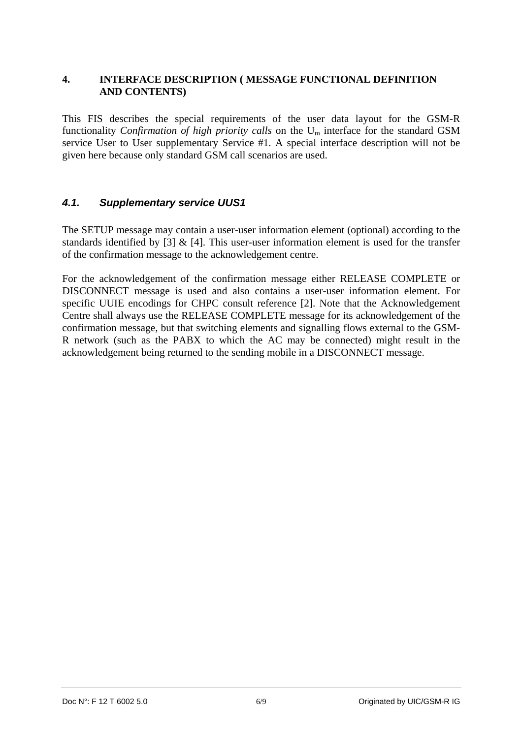#### **4. INTERFACE DESCRIPTION ( MESSAGE FUNCTIONAL DEFINITION AND CONTENTS)**

This FIS describes the special requirements of the user data layout for the GSM-R functionality *Confirmation of high priority calls* on the Um interface for the standard GSM service User to User supplementary Service #1. A special interface description will not be given here because only standard GSM call scenarios are used.

#### *4.1. Supplementary service UUS1*

The SETUP message may contain a user-user information element (optional) according to the standards identified by [3]  $\&$  [4]. This user-user information element is used for the transfer of the confirmation message to the acknowledgement centre.

For the acknowledgement of the confirmation message either RELEASE COMPLETE or DISCONNECT message is used and also contains a user-user information element. For specific UUIE encodings for CHPC consult reference [2]. Note that the Acknowledgement Centre shall always use the RELEASE COMPLETE message for its acknowledgement of the confirmation message, but that switching elements and signalling flows external to the GSM-R network (such as the PABX to which the AC may be connected) might result in the acknowledgement being returned to the sending mobile in a DISCONNECT message.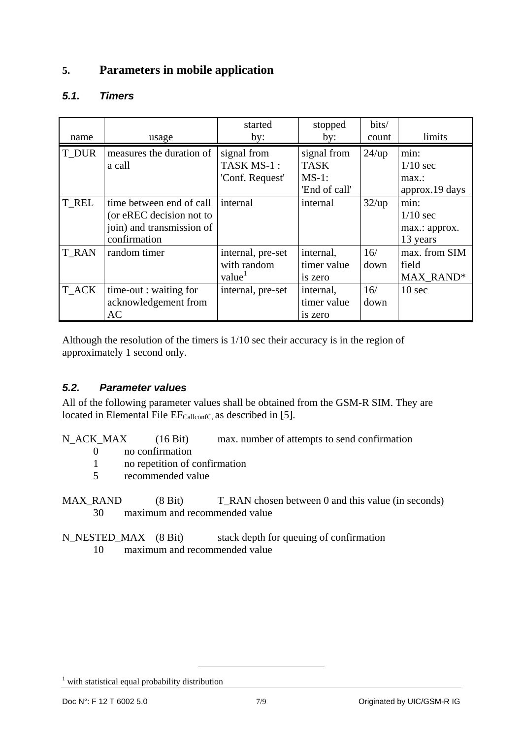## **5. Parameters in mobile application**

## *5.1. Timers*

|              |                           | started           | stopped       | bits/ |                   |
|--------------|---------------------------|-------------------|---------------|-------|-------------------|
| name         | usage                     | by:               | by:           | count | limits            |
| T_DUR        | measures the duration of  | signal from       | signal from   | 24/up | min:              |
|              | a call                    | TASK MS-1:        | <b>TASK</b>   |       | $1/10$ sec        |
|              |                           | 'Conf. Request'   | $MS-1$ :      |       | max:              |
|              |                           |                   | 'End of call' |       | approx.19 days    |
| T REL        | time between end of call  | internal          | internal      | 32/up | min:              |
|              | (or eREC decision not to  |                   |               |       | $1/10$ sec        |
|              | join) and transmission of |                   |               |       | max.: approx.     |
|              | confirmation              |                   |               |       | 13 years          |
| <b>T RAN</b> | random timer              | internal, pre-set | internal,     | 16/   | max. from SIM     |
|              |                           | with random       | timer value   | down  | field             |
|              |                           | value             | is zero       |       | MAX_RAND*         |
| T_ACK        | time-out : waiting for    | internal, pre-set | internal,     | 16/   | 10 <sub>sec</sub> |
|              | acknowledgement from      |                   | timer value   | down  |                   |
|              | AC                        |                   | is zero       |       |                   |

Although the resolution of the timers is 1/10 sec their accuracy is in the region of approximately 1 second only.

### *5.2. Parameter values*

All of the following parameter values shall be obtained from the GSM-R SIM. They are located in Elemental File  $EF_{\text{CallconfC}}$  as described in [5].

N\_ACK\_MAX (16 Bit) max. number of attempts to send confirmation

- 0 no confirmation
- 1 no repetition of confirmation
- 5 recommended value

MAX\_RAND (8 Bit) T\_RAN chosen between 0 and this value (in seconds) 30 maximum and recommended value

N\_NESTED\_MAX (8 Bit) stack depth for queuing of confirmation 10 maximum and recommended value

<sup>1</sup> with statistical equal probability distribution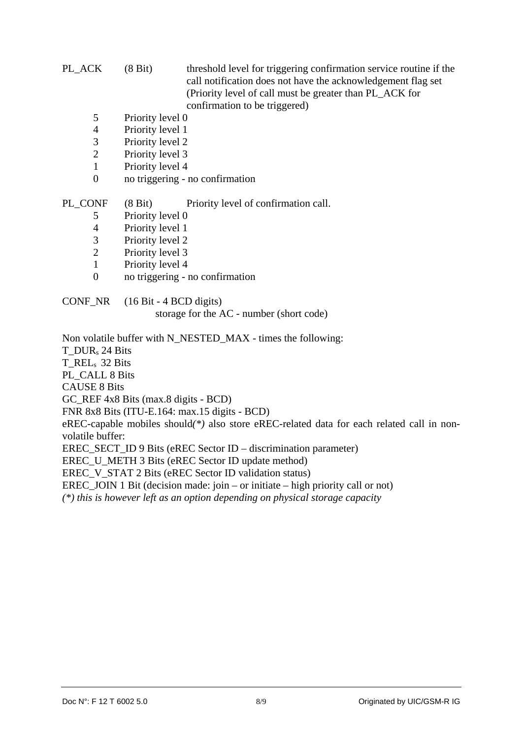PL\_ACK (8 Bit) threshold level for triggering confirmation service routine if the call notification does not have the acknowledgement flag set (Priority level of call must be greater than PL\_ACK for confirmation to be triggered)

- 5 Priority level 0
- 4 Priority level 1
- 3 Priority level 2
- 2 Priority level 3
- 1 Priority level 4
- 0 no triggering no confirmation

PL\_CONF (8 Bit) Priority level of confirmation call.

- 5 Priority level 0
- 4 Priority level 1
- 3 Priority level 2
- 2 Priority level 3
- 1 Priority level 4
- 0 no triggering no confirmation

CONF\_NR (16 Bit - 4 BCD digits)

storage for the AC - number (short code)

Non volatile buffer with N\_NESTED\_MAX - times the following:

T\_DURs 24 Bits

T\_REL<sub>s</sub> 32 Bits

PL\_CALL 8 Bits

CAUSE 8 Bits

GC\_REF 4x8 Bits (max.8 digits - BCD)

FNR 8x8 Bits (ITU-E.164: max.15 digits - BCD)

eREC-capable mobiles should*(\*)* also store eREC-related data for each related call in nonvolatile buffer:

EREC\_SECT\_ID 9 Bits (eREC Sector ID – discrimination parameter)

EREC U METH 3 Bits (eREC Sector ID update method)

EREC\_V\_STAT 2 Bits (eREC Sector ID validation status)

EREC JOIN 1 Bit (decision made: join – or initiate – high priority call or not)

*(\*) this is however left as an option depending on physical storage capacity*